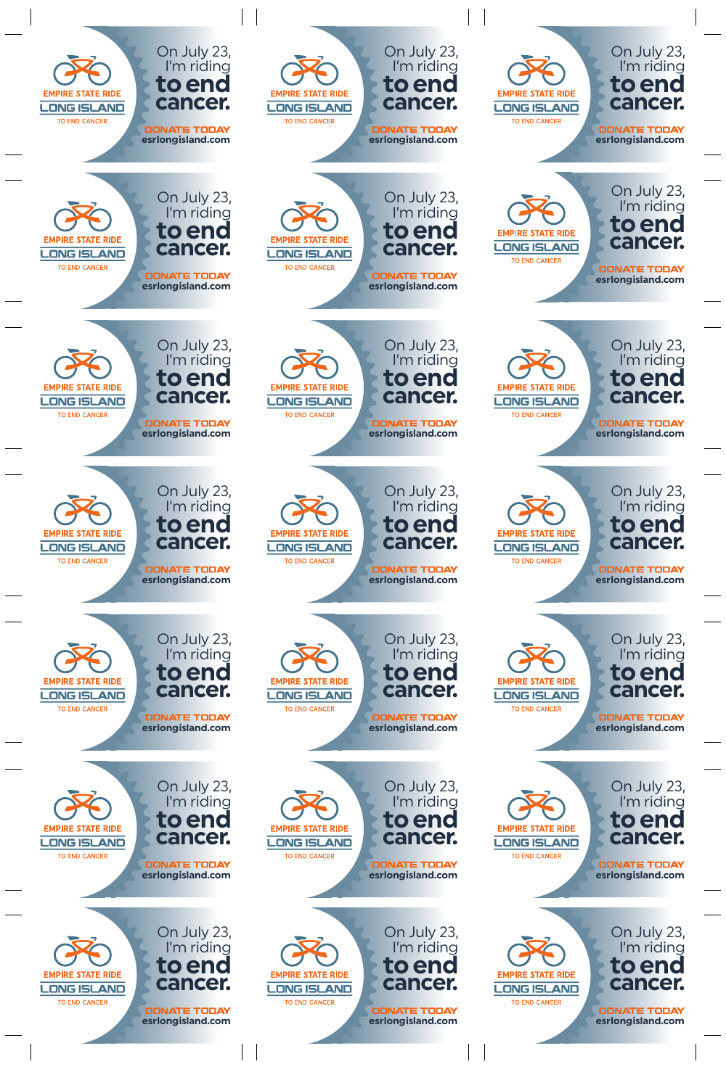